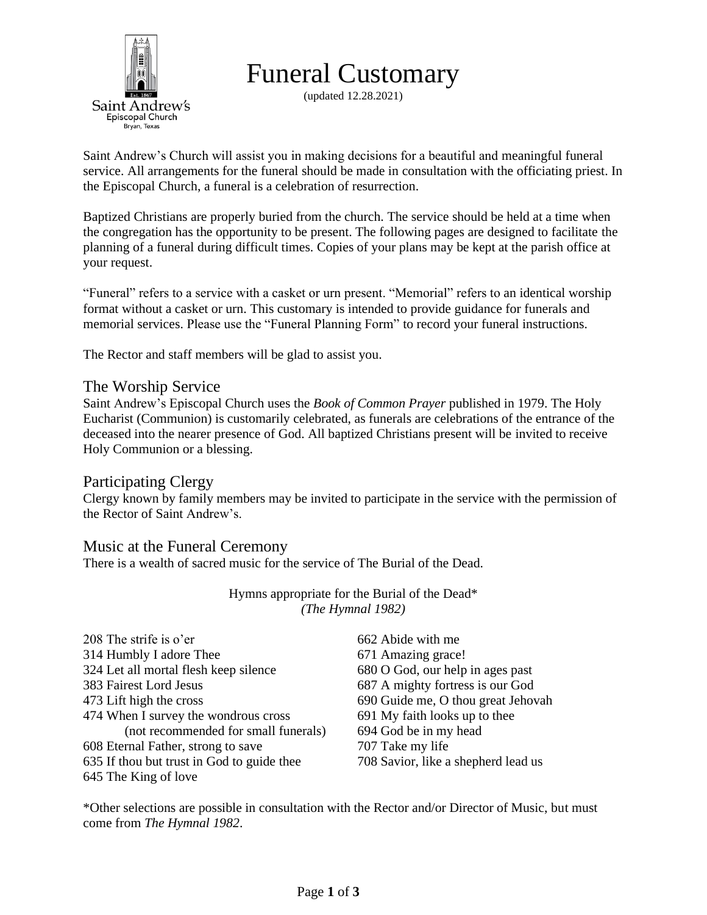

Funeral Customary

(updated 12.28.2021)

Saint Andrew's Church will assist you in making decisions for a beautiful and meaningful funeral service. All arrangements for the funeral should be made in consultation with the officiating priest. In the Episcopal Church, a funeral is a celebration of resurrection.

Baptized Christians are properly buried from the church. The service should be held at a time when the congregation has the opportunity to be present. The following pages are designed to facilitate the planning of a funeral during difficult times. Copies of your plans may be kept at the parish office at your request.

"Funeral" refers to a service with a casket or urn present. "Memorial" refers to an identical worship format without a casket or urn. This customary is intended to provide guidance for funerals and memorial services. Please use the "Funeral Planning Form" to record your funeral instructions.

The Rector and staff members will be glad to assist you.

### The Worship Service

Saint Andrew's Episcopal Church uses the *Book of Common Prayer* published in 1979. The Holy Eucharist (Communion) is customarily celebrated, as funerals are celebrations of the entrance of the deceased into the nearer presence of God. All baptized Christians present will be invited to receive Holy Communion or a blessing.

### Participating Clergy

Clergy known by family members may be invited to participate in the service with the permission of the Rector of Saint Andrew's.

### Music at the Funeral Ceremony

There is a wealth of sacred music for the service of The Burial of the Dead.

Hymns appropriate for the Burial of the Dead\* *(The Hymnal 1982)*

| 208 The strife is o'er                     | 662 Abide with me                   |
|--------------------------------------------|-------------------------------------|
| 314 Humbly I adore Thee                    | 671 Amazing grace!                  |
| 324 Let all mortal flesh keep silence      | 680 O God, our help in ages past    |
| 383 Fairest Lord Jesus                     | 687 A mighty fortress is our God    |
| 473 Lift high the cross                    | 690 Guide me, O thou great Jehovah  |
| 474 When I survey the wondrous cross       | 691 My faith looks up to thee       |
| (not recommended for small funerals)       | 694 God be in my head               |
| 608 Eternal Father, strong to save         | 707 Take my life                    |
| 635 If thou but trust in God to guide thee | 708 Savior, like a shepherd lead us |
| 645 The King of love                       |                                     |
|                                            |                                     |

\*Other selections are possible in consultation with the Rector and/or Director of Music, but must come from *The Hymnal 1982*.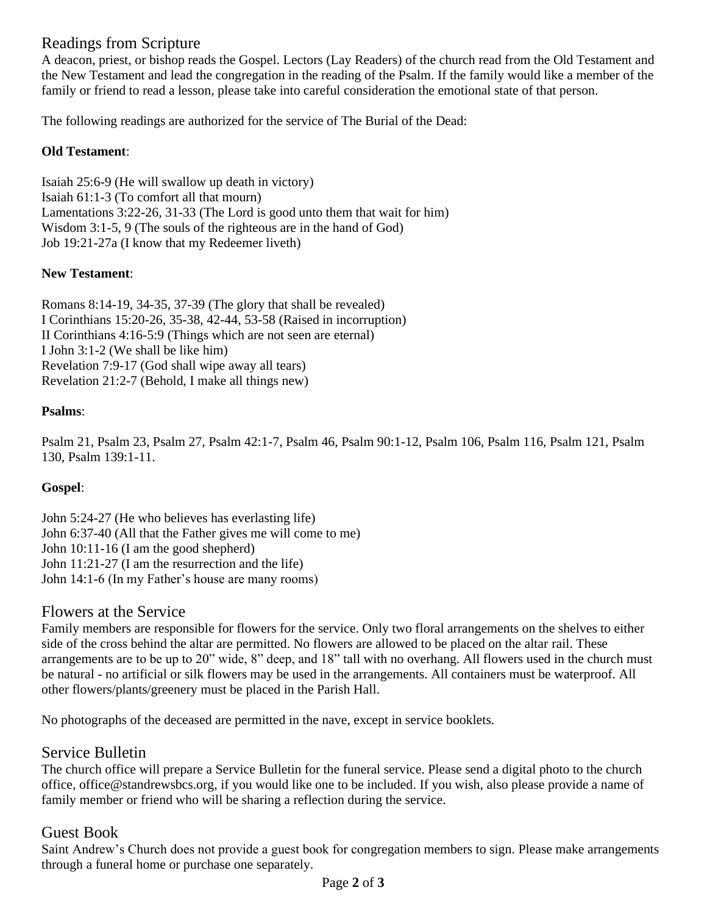# Readings from Scripture

A deacon, priest, or bishop reads the Gospel. Lectors (Lay Readers) of the church read from the Old Testament and the New Testament and lead the congregation in the reading of the Psalm. If the family would like a member of the family or friend to read a lesson, please take into careful consideration the emotional state of that person.

The following readings are authorized for the service of The Burial of the Dead:

#### **Old Testament**:

Isaiah 25:6-9 (He will swallow up death in victory) Isaiah 61:1-3 (To comfort all that mourn) Lamentations 3:22-26, 31-33 (The Lord is good unto them that wait for him) Wisdom 3:1-5, 9 (The souls of the righteous are in the hand of God) Job 19:21-27a (I know that my Redeemer liveth)

#### **New Testament**:

Romans 8:14-19, 34-35, 37-39 (The glory that shall be revealed) I Corinthians 15:20-26, 35-38, 42-44, 53-58 (Raised in incorruption) II Corinthians 4:16-5:9 (Things which are not seen are eternal) I John 3:1-2 (We shall be like him) Revelation 7:9-17 (God shall wipe away all tears) Revelation 21:2-7 (Behold, I make all things new)

#### **Psalms**:

Psalm 21, Psalm 23, Psalm 27, Psalm 42:1-7, Psalm 46, Psalm 90:1-12, Psalm 106, Psalm 116, Psalm 121, Psalm 130, Psalm 139:1-11.

### **Gospel**:

John 5:24-27 (He who believes has everlasting life) John 6:37-40 (All that the Father gives me will come to me) John 10:11-16 (I am the good shepherd) John 11:21-27 (I am the resurrection and the life) John 14:1-6 (In my Father's house are many rooms)

### Flowers at the Service

Family members are responsible for flowers for the service. Only two floral arrangements on the shelves to either side of the cross behind the altar are permitted. No flowers are allowed to be placed on the altar rail. These arrangements are to be up to 20" wide, 8" deep, and 18" tall with no overhang. All flowers used in the church must be natural - no artificial or silk flowers may be used in the arrangements. All containers must be waterproof. All other flowers/plants/greenery must be placed in the Parish Hall.

No photographs of the deceased are permitted in the nave, except in service booklets.

### Service Bulletin

The church office will prepare a Service Bulletin for the funeral service. Please send a digital photo to the church office, office@standrewsbcs.org, if you would like one to be included. If you wish, also please provide a name of family member or friend who will be sharing a reflection during the service.

### Guest Book

Saint Andrew's Church does not provide a guest book for congregation members to sign. Please make arrangements through a funeral home or purchase one separately.